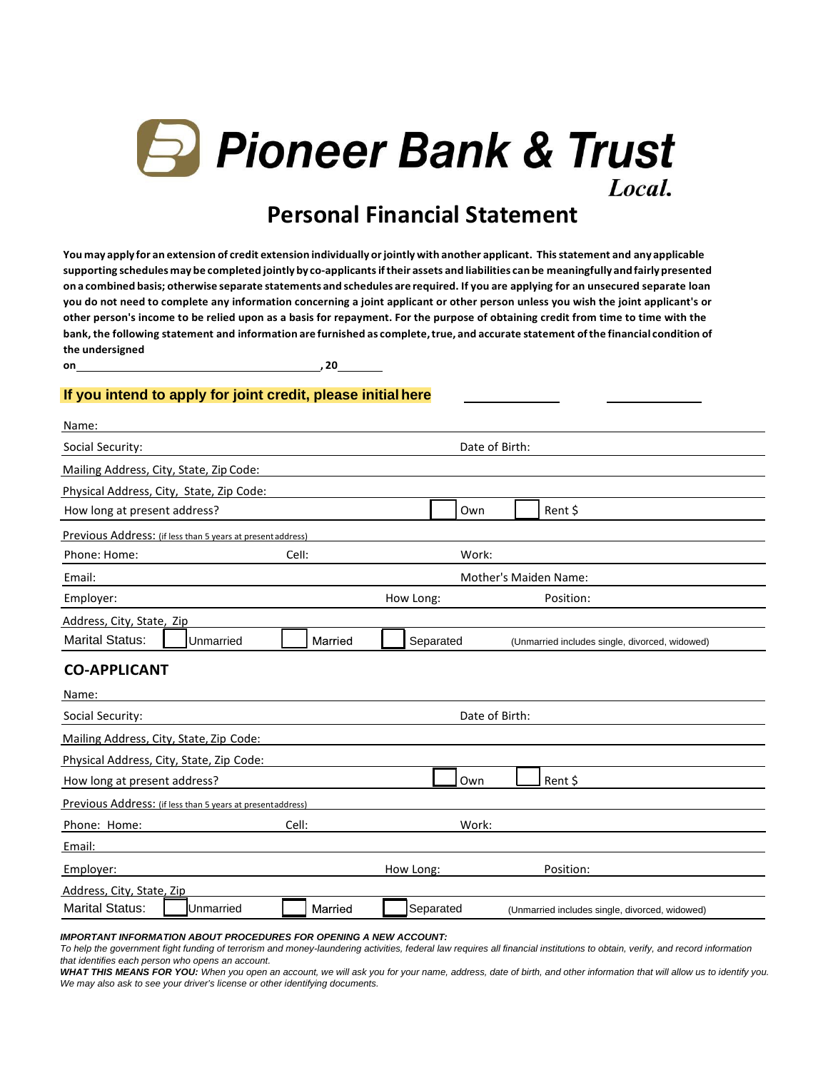

# **Personal Financial Statement**

 **You may apply for an extension of credit extension individually or jointly with another applicant. This statement and any applicable supporting schedules may be completed jointly by co-applicants if their assets and liabilities can be meaningfully and fairly presented on a combined basis; otherwise separate statements and schedules are required. If you are applying for an unsecured separate loan you do not need to complete any information concerning a joint applicant or other person unless you wish the joint applicant's or other person's income to be relied upon as a basis for repayment. For the purpose of obtaining credit from time to time with the bank, the following statement and information are furnished as complete, true, and accurate statement of the financial condition of the undersigned** 

on\_

 $, 20$ 

#### **If you intend to apply for joint credit, please initial here**

| Name:                                                       |         |                |                                                |
|-------------------------------------------------------------|---------|----------------|------------------------------------------------|
| Social Security:                                            |         | Date of Birth: |                                                |
| Mailing Address, City, State, Zip Code:                     |         |                |                                                |
| Physical Address, City, State, Zip Code:                    |         |                |                                                |
| How long at present address?                                |         | Own            | Rent \$                                        |
| Previous Address: (if less than 5 years at present address) |         |                |                                                |
| Phone: Home:                                                | Cell:   | Work:          |                                                |
| Email:                                                      |         |                | Mother's Maiden Name:                          |
| Employer:                                                   |         | How Long:      | Position:                                      |
| Address, City, State, Zip                                   |         |                |                                                |
| <b>Marital Status:</b><br>Unmarried                         | Married | Separated      | (Unmarried includes single, divorced, widowed) |
| <b>CO-APPLICANT</b>                                         |         |                |                                                |
| Name:                                                       |         |                |                                                |
| Social Security:                                            |         | Date of Birth: |                                                |
| Mailing Address, City, State, Zip Code:                     |         |                |                                                |
| Physical Address, City, State, Zip Code:                    |         |                |                                                |
| How long at present address?                                |         | Own            | Rent \$                                        |
| Previous Address: (if less than 5 years at presentaddress)  |         |                |                                                |
| Phone: Home:                                                | Cell:   | Work:          |                                                |
| Email:                                                      |         |                |                                                |
| Employer:                                                   |         | How Long:      | Position:                                      |
| Address, City, State, Zip                                   |         |                |                                                |
| <b>Marital Status:</b><br>Unmarried                         | Married | Separated      | (Unmarried includes single, divorced, widowed) |
|                                                             |         |                |                                                |

#### *IMPORTANT INFORMATION ABOUT PROCEDURES FOR OPENING A NEW ACCOUNT:*

 *To help the government fight funding of terrorism and money-laundering activities, federal law requires all financial institutions to obtain, verify, and record information that identifies each person who opens an account.* 

 *WHAT THIS MEANS FOR YOU: When you open an account, we will ask you for your name, address, date of birth, and other information that will allow us to identify you. We may also ask to see your driver's license or other identifying documents.*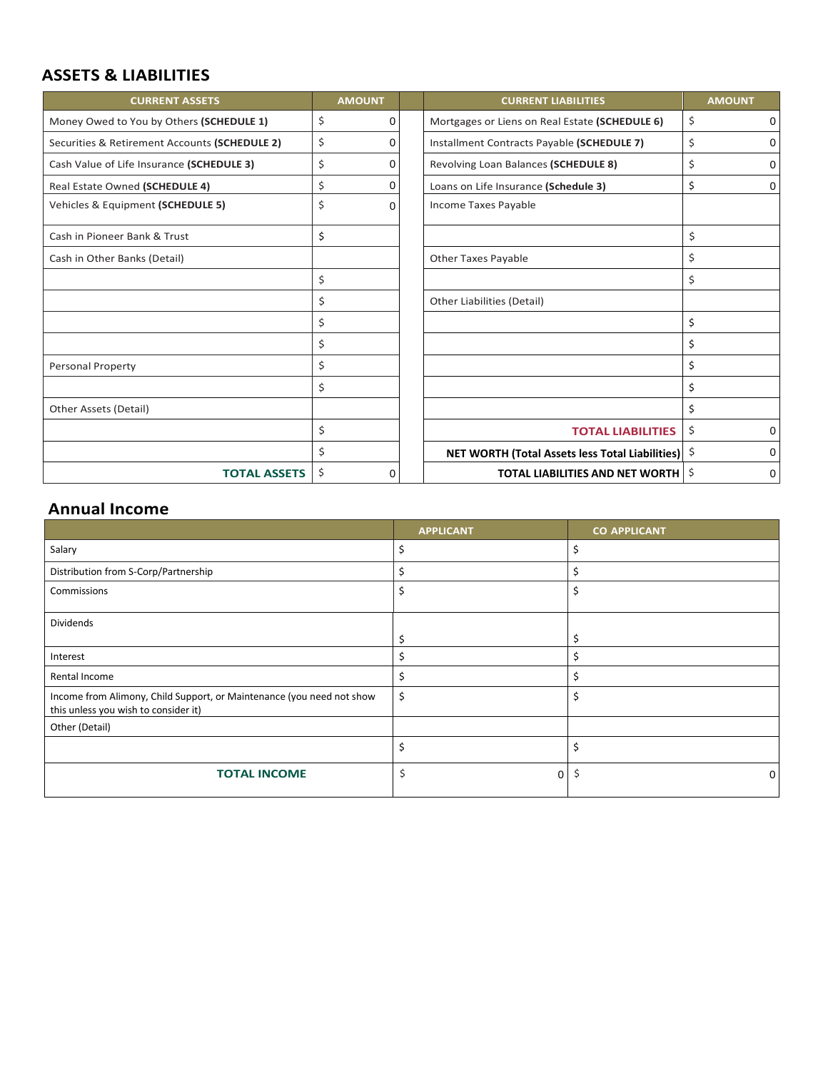#### **ASSETS & LIABILITIES**

| <b>CURRENT ASSETS</b>                         | <b>AMOUNT</b>  | <b>CURRENT LIABILITIES</b>                         | <b>AMOUNT</b>        |
|-----------------------------------------------|----------------|----------------------------------------------------|----------------------|
| Money Owed to You by Others (SCHEDULE 1)      | \$<br>0        | Mortgages or Liens on Real Estate (SCHEDULE 6)     | \$<br>$\overline{0}$ |
| Securities & Retirement Accounts (SCHEDULE 2) | \$<br>$\Omega$ | Installment Contracts Payable (SCHEDULE 7)         | \$<br>$\overline{0}$ |
| Cash Value of Life Insurance (SCHEDULE 3)     | \$<br>0        | Revolving Loan Balances (SCHEDULE 8)               | \$<br>$\overline{0}$ |
| Real Estate Owned (SCHEDULE 4)                | \$<br>0        | Loans on Life Insurance (Schedule 3)               | \$<br>$\overline{0}$ |
| Vehicles & Equipment (SCHEDULE 5)             | \$<br>0        | Income Taxes Payable                               |                      |
| Cash in Pioneer Bank & Trust                  | \$             |                                                    | \$                   |
| Cash in Other Banks (Detail)                  |                | <b>Other Taxes Payable</b>                         | \$                   |
|                                               | \$             |                                                    | \$                   |
|                                               | \$             | <b>Other Liabilities (Detail)</b>                  |                      |
|                                               | \$             |                                                    | \$                   |
|                                               | \$             |                                                    | \$                   |
| <b>Personal Property</b>                      | \$             |                                                    | \$                   |
|                                               | \$             |                                                    | \$                   |
| Other Assets (Detail)                         |                |                                                    | \$                   |
|                                               | \$             | <b>TOTAL LIABILITIES</b>                           | \$<br>0              |
|                                               | \$             | NET WORTH (Total Assets less Total Liabilities) \$ | 0                    |
| <b>TOTAL ASSETS</b>                           | \$<br>0        | <b>TOTAL LIABILITIES AND NET WORTH</b>             | Ŝ.<br>0              |

#### **Annual Income**

|                                                                                                               | <b>APPLICANT</b> | <b>CO APPLICANT</b> |
|---------------------------------------------------------------------------------------------------------------|------------------|---------------------|
| Salary                                                                                                        | \$               | \$                  |
| Distribution from S-Corp/Partnership                                                                          | \$               | \$                  |
| Commissions                                                                                                   | \$               | Ś                   |
| <b>Dividends</b>                                                                                              |                  |                     |
|                                                                                                               | \$               |                     |
| Interest                                                                                                      | Ś                |                     |
| Rental Income                                                                                                 | \$               | Ś                   |
| Income from Alimony, Child Support, or Maintenance (you need not show<br>this unless you wish to consider it) | \$               | Ś                   |
| Other (Detail)                                                                                                |                  |                     |
|                                                                                                               | \$               | \$                  |
| <b>TOTAL INCOME</b>                                                                                           |                  | 0                   |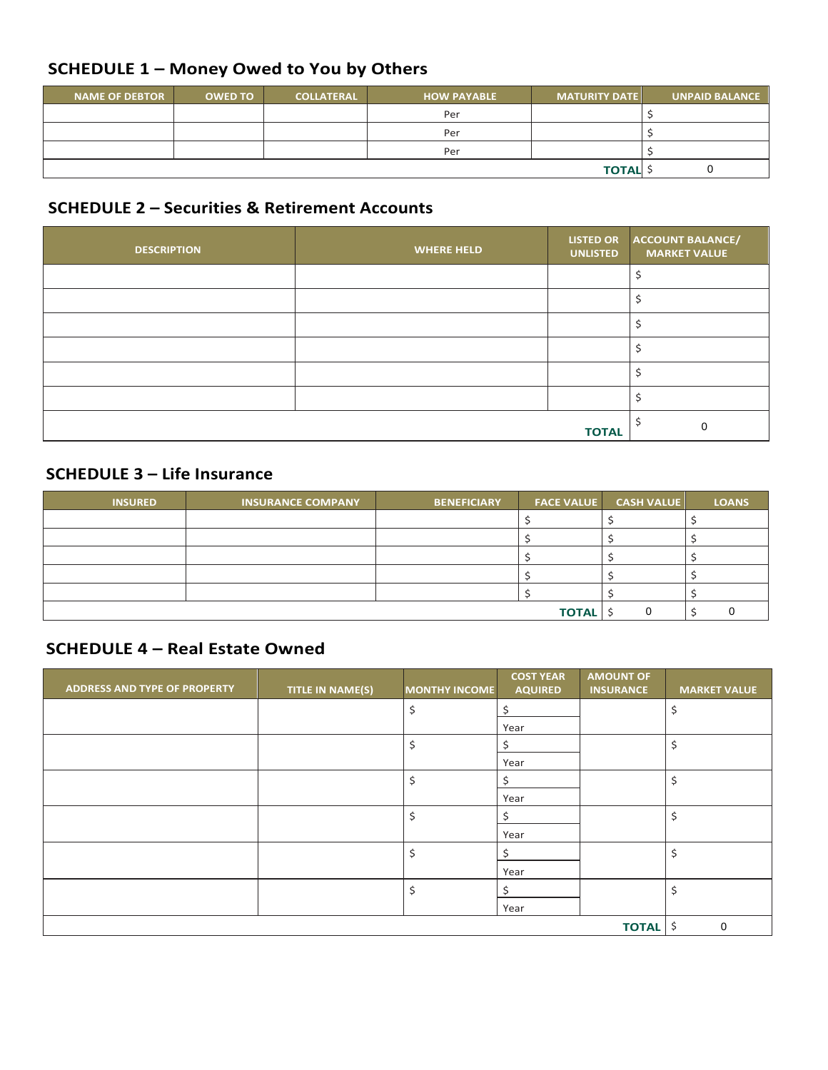## **SCHEDULE 1 – Money Owed to You by Others**

| <b>NAME OF DEBTOR</b> | <b>OWED TO</b> | <b>COLLATERAL</b> | <b>HOW PAYABLE</b> | <b>MATURITY DATE</b> | <b>UNPAID BALANCE</b> |
|-----------------------|----------------|-------------------|--------------------|----------------------|-----------------------|
|                       |                |                   | Per                |                      |                       |
|                       |                |                   | Per                |                      |                       |
|                       |                |                   | Per                |                      |                       |
|                       |                |                   |                    | <b>TOTAL</b>         |                       |

#### **SCHEDULE 2 – Securities & Retirement Accounts**

| <b>DESCRIPTION</b> | <b>WHERE HELD</b> | <b>LISTED OR</b><br><b>UNLISTED</b> | <b>ACCOUNT BALANCE/</b><br><b>MARKET VALUE</b> |
|--------------------|-------------------|-------------------------------------|------------------------------------------------|
|                    |                   |                                     |                                                |
|                    |                   |                                     |                                                |
|                    |                   |                                     |                                                |
|                    |                   |                                     |                                                |
|                    |                   |                                     |                                                |
|                    |                   |                                     |                                                |
|                    |                   | <b>TOTAL</b>                        |                                                |

#### **SCHEDULE 3 – Life Insurance**

| <b>INSURED</b> | <b>INSURANCE COMPANY</b> | <b>BENEFICIARY</b> | <b>FACE VALUE</b> | <b>CASH VALUE</b> | <b>LOANS</b> |
|----------------|--------------------------|--------------------|-------------------|-------------------|--------------|
|                |                          |                    |                   |                   |              |
|                |                          |                    |                   |                   |              |
|                |                          |                    |                   |                   |              |
|                |                          |                    |                   |                   |              |
|                |                          |                    |                   |                   |              |
|                |                          |                    | <b>TOTAL</b>      |                   |              |

#### **SCHEDULE 4 – Real Estate Owned**

| <b>ADDRESS AND TYPE OF PROPERTY</b> | <b>TITLE IN NAME(S)</b> | MONTHY INCOME | <b>COST YEAR</b><br><b>AQUIRED</b> | <b>AMOUNT OF</b><br><b>INSURANCE</b> | <b>MARKET VALUE</b> |
|-------------------------------------|-------------------------|---------------|------------------------------------|--------------------------------------|---------------------|
|                                     |                         | \$            | \$                                 |                                      | $\zeta$             |
|                                     |                         |               | Year                               |                                      |                     |
|                                     |                         | \$            | \$                                 |                                      | $\zeta$             |
|                                     |                         |               | Year                               |                                      |                     |
|                                     |                         | \$            | \$                                 |                                      | \$                  |
|                                     |                         |               | Year                               |                                      |                     |
|                                     |                         | \$            | \$                                 |                                      | $\zeta$             |
|                                     |                         |               | Year                               |                                      |                     |
|                                     |                         | \$            | \$                                 |                                      | \$                  |
|                                     |                         |               | Year                               |                                      |                     |
|                                     |                         | \$            | \$                                 |                                      | \$                  |
|                                     |                         |               | Year                               |                                      |                     |
|                                     |                         |               |                                    | <b>TOTAL</b> \$                      | $\mathbf 0$         |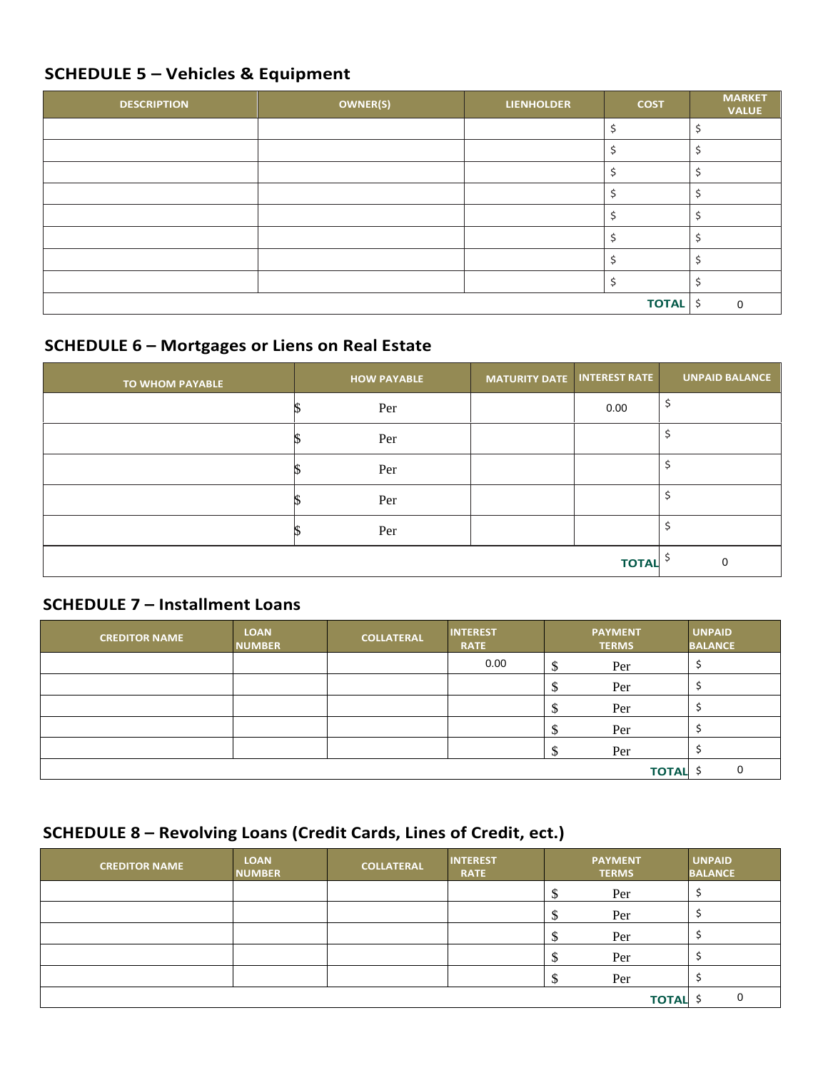#### **SCHEDULE 5 – Vehicles & Equipment**

| <b>DESCRIPTION</b> | <b>OWNER(S)</b> | <b>LIENHOLDER</b> | <b>COST</b>     | <b>MARKET</b><br><b>VALUE</b> |
|--------------------|-----------------|-------------------|-----------------|-------------------------------|
|                    |                 |                   |                 |                               |
|                    |                 |                   |                 |                               |
|                    |                 |                   |                 |                               |
|                    |                 |                   | ১               |                               |
|                    |                 |                   |                 |                               |
|                    |                 |                   |                 |                               |
|                    |                 |                   | ∍               |                               |
|                    |                 |                   |                 |                               |
|                    |                 |                   | <b>TOTAL</b> \$ | $\Omega$                      |

## **SCHEDULE 6 – Mortgages or Liens on Real Estate**

| <b>TO WHOM PAYABLE</b> | <b>HOW PAYABLE</b> | <b>MATURITY DATE INTEREST RATE</b> |              | <b>UNPAID BALANCE</b> |
|------------------------|--------------------|------------------------------------|--------------|-----------------------|
|                        | Per                |                                    | 0.00         |                       |
|                        | Per                |                                    |              |                       |
|                        | Per                |                                    |              |                       |
|                        | Per                |                                    |              |                       |
|                        | Per                |                                    |              |                       |
|                        |                    |                                    | <b>TOTAL</b> |                       |

#### **SCHEDULE 7 – Installment Loans**

| <b>CREDITOR NAME</b> | <b>LOAN</b><br><b>NUMBER</b> | <b>COLLATERAL</b> | <b>INTEREST</b><br><b>RATE</b> |        | <b>PAYMENT</b><br><b>TERMS</b> | <b>UNPAID</b><br><b>BALANCE</b> |
|----------------------|------------------------------|-------------------|--------------------------------|--------|--------------------------------|---------------------------------|
|                      |                              |                   | 0.00                           | ₼<br>Φ | Per                            |                                 |
|                      |                              |                   |                                |        | Per                            |                                 |
|                      |                              |                   |                                | Φ      | Per                            |                                 |
|                      |                              |                   |                                |        | Per                            |                                 |
|                      |                              |                   |                                |        | Per                            |                                 |
|                      |                              |                   |                                |        | <b>TOTAL \$</b>                | 0                               |

## **SCHEDULE 8 – Revolving Loans (Credit Cards, Lines of Credit, ect.)**

| <b>CREDITOR NAME</b> | <b>LOAN</b><br><b>NUMBER</b> | <b>COLLATERAL</b> | <b>INTEREST</b><br><b>RATE</b> |    | <b>PAYMENT</b><br><b>TERMS</b> | <b>UNPAID</b><br><b>BALANCE</b> |
|----------------------|------------------------------|-------------------|--------------------------------|----|--------------------------------|---------------------------------|
|                      |                              |                   |                                |    | Per                            |                                 |
|                      |                              |                   |                                |    | Per                            |                                 |
|                      |                              |                   |                                | ۰L | Per                            |                                 |
|                      |                              |                   |                                | Φ  | Per                            |                                 |
|                      |                              |                   |                                |    | Per                            |                                 |
|                      |                              |                   |                                |    | <b>TOTAL</b>                   |                                 |